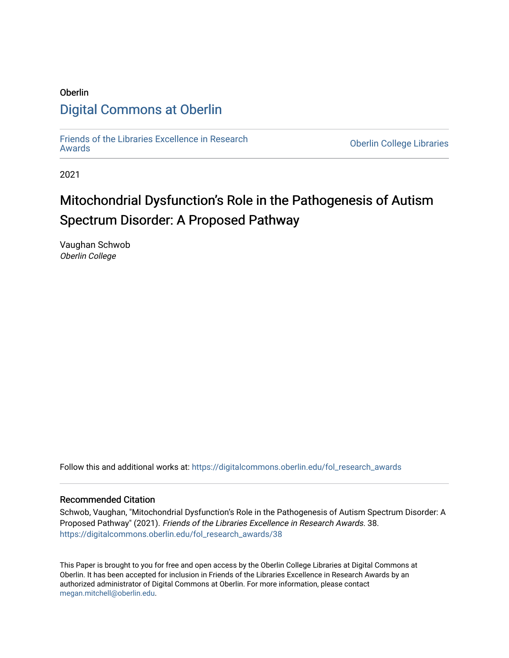# Oberlin [Digital Commons at Oberlin](https://digitalcommons.oberlin.edu/)

[Friends of the Libraries Excellence in Research](https://digitalcommons.oberlin.edu/fol_research_awards)

**Oberlin College Libraries** 

2021

# Mitochondrial Dysfunction's Role in the Pathogenesis of Autism Spectrum Disorder: A Proposed Pathway

Vaughan Schwob Oberlin College

Follow this and additional works at: [https://digitalcommons.oberlin.edu/fol\\_research\\_awards](https://digitalcommons.oberlin.edu/fol_research_awards?utm_source=digitalcommons.oberlin.edu%2Ffol_research_awards%2F38&utm_medium=PDF&utm_campaign=PDFCoverPages)

# Recommended Citation

Schwob, Vaughan, "Mitochondrial Dysfunction's Role in the Pathogenesis of Autism Spectrum Disorder: A Proposed Pathway" (2021). Friends of the Libraries Excellence in Research Awards. 38. [https://digitalcommons.oberlin.edu/fol\\_research\\_awards/38](https://digitalcommons.oberlin.edu/fol_research_awards/38?utm_source=digitalcommons.oberlin.edu%2Ffol_research_awards%2F38&utm_medium=PDF&utm_campaign=PDFCoverPages) 

This Paper is brought to you for free and open access by the Oberlin College Libraries at Digital Commons at Oberlin. It has been accepted for inclusion in Friends of the Libraries Excellence in Research Awards by an authorized administrator of Digital Commons at Oberlin. For more information, please contact [megan.mitchell@oberlin.edu](mailto:megan.mitchell@oberlin.edu).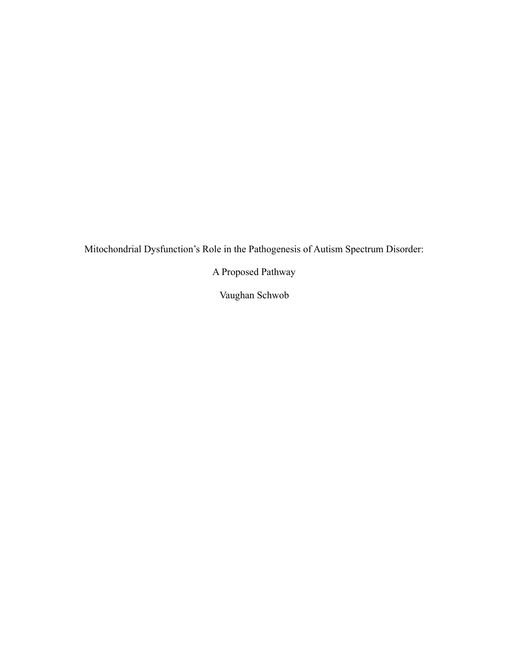Mitochondrial Dysfunction's Role in the Pathogenesis of Autism Spectrum Disorder:

A Proposed Pathway

Vaughan Schwob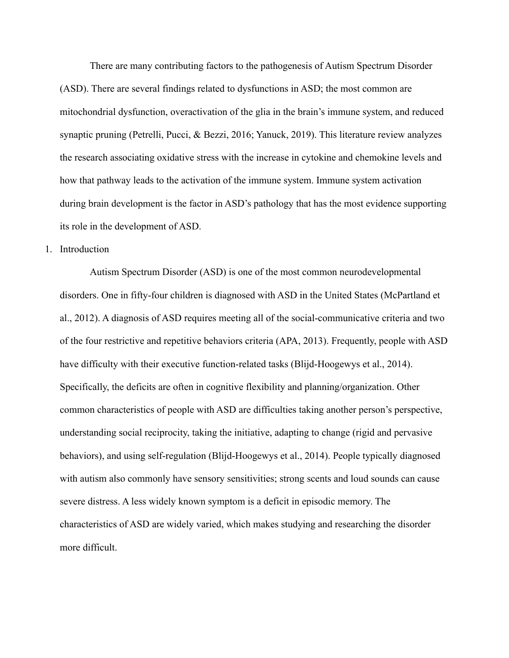There are many contributing factors to the pathogenesis of Autism Spectrum Disorder (ASD). There are several findings related to dysfunctions in ASD; the most common are mitochondrial dysfunction, overactivation of the glia in the brain's immune system, and reduced synaptic pruning (Petrelli, Pucci, & Bezzi, 2016; Yanuck, 2019). This literature review analyzes the research associating oxidative stress with the increase in cytokine and chemokine levels and how that pathway leads to the activation of the immune system. Immune system activation during brain development is the factor in ASD's pathology that has the most evidence supporting its role in the development of ASD.

## 1. Introduction

Autism Spectrum Disorder (ASD) is one of the most common neurodevelopmental disorders. One in fifty-four children is diagnosed with ASD in the United States (McPartland et al., 2012). A diagnosis of ASD requires meeting all of the social-communicative criteria and two of the four restrictive and repetitive behaviors criteria (APA, 2013). Frequently, people with ASD have difficulty with their executive function-related tasks (Blijd-Hoogewys et al., 2014). Specifically, the deficits are often in cognitive flexibility and planning/organization. Other common characteristics of people with ASD are difficulties taking another person's perspective, understanding social reciprocity, taking the initiative, adapting to change (rigid and pervasive behaviors), and using self-regulation (Blijd-Hoogewys et al., 2014). People typically diagnosed with autism also commonly have sensory sensitivities; strong scents and loud sounds can cause severe distress. A less widely known symptom is a deficit in episodic memory. The characteristics of ASD are widely varied, which makes studying and researching the disorder more difficult.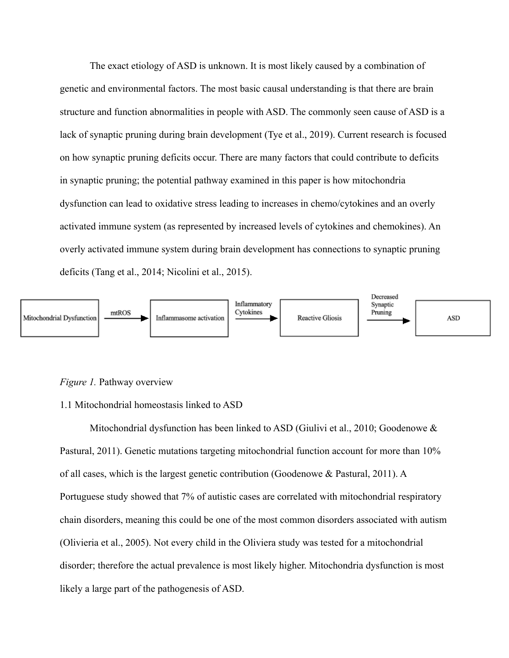The exact etiology of ASD is unknown. It is most likely caused by a combination of genetic and environmental factors. The most basic causal understanding is that there are brain structure and function abnormalities in people with ASD. The commonly seen cause of ASD is a lack of synaptic pruning during brain development (Tye et al., 2019). Current research is focused on how synaptic pruning deficits occur. There are many factors that could contribute to deficits in synaptic pruning; the potential pathway examined in this paper is how mitochondria dysfunction can lead to oxidative stress leading to increases in chemo/cytokines and an overly activated immune system (as represented by increased levels of cytokines and chemokines). An overly activated immune system during brain development has connections to synaptic pruning deficits (Tang et al., 2014; Nicolini et al., 2015).



#### *Figure 1.* Pathway overview

#### 1.1 Mitochondrial homeostasis linked to ASD

Mitochondrial dysfunction has been linked to ASD (Giulivi et al., 2010; Goodenowe  $\&$ Pastural, 2011). Genetic mutations targeting mitochondrial function account for more than 10% of all cases, which is the largest genetic contribution (Goodenowe & Pastural, 2011). A Portuguese study showed that 7% of autistic cases are correlated with mitochondrial respiratory chain disorders, meaning this could be one of the most common disorders associated with autism (Olivieria et al., 2005). Not every child in the Oliviera study was tested for a mitochondrial disorder; therefore the actual prevalence is most likely higher. Mitochondria dysfunction is most likely a large part of the pathogenesis of ASD.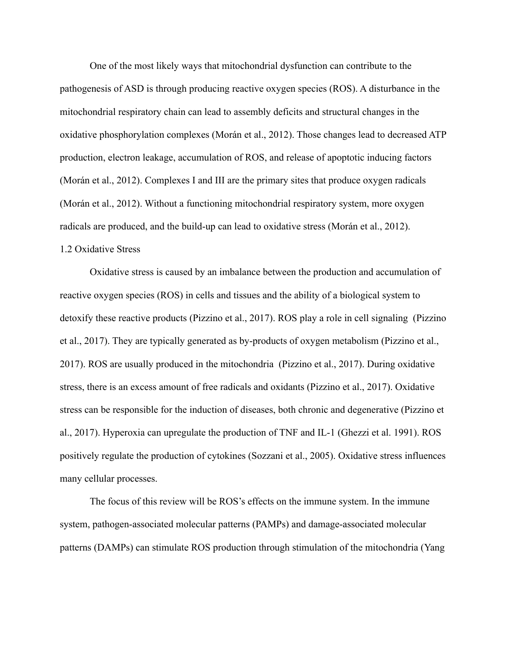One of the most likely ways that mitochondrial dysfunction can contribute to the pathogenesis of ASD is through producing reactive oxygen species (ROS). A disturbance in the mitochondrial respiratory chain can lead to assembly deficits and structural changes in the oxidative phosphorylation complexes (Morán et al., 2012). Those changes lead to decreased ATP production, electron leakage, accumulation of ROS, and release of apoptotic inducing factors (Morán et al., 2012). Complexes I and III are the primary sites that produce oxygen radicals (Morán et al., 2012). Without a functioning mitochondrial respiratory system, more oxygen radicals are produced, and the build-up can lead to oxidative stress (Morán et al., 2012). 1.2 Oxidative Stress

Oxidative stress is caused by an imbalance between the production and accumulation of reactive oxygen species (ROS) in cells and tissues and the ability of a biological system to detoxify these reactive products (Pizzino et al., 2017). ROS play a role in cell signaling (Pizzino et al., 2017). They are typically generated as by-products of oxygen metabolism (Pizzino et al., 2017). ROS are usually produced in the mitochondria (Pizzino et al., 2017). During oxidative stress, there is an excess amount of free radicals and oxidants (Pizzino et al., 2017). Oxidative stress can be responsible for the induction of diseases, both chronic and degenerative (Pizzino et al., 2017). Hyperoxia can upregulate the production of TNF and IL-1 (Ghezzi et al. 1991). ROS positively regulate the production of cytokines (Sozzani et al., 2005). Oxidative stress influences many cellular processes.

The focus of this review will be ROS's effects on the immune system. In the immune system, pathogen-associated molecular patterns (PAMPs) and damage-associated molecular patterns (DAMPs) can stimulate ROS production through stimulation of the mitochondria (Yang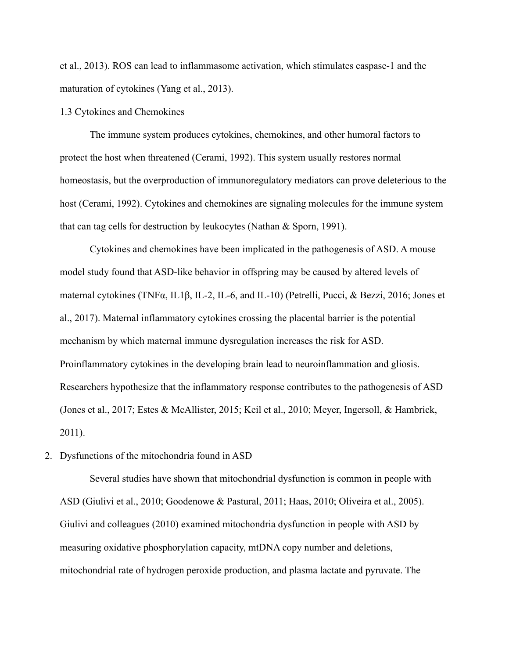et al., 2013). ROS can lead to inflammasome activation, which stimulates caspase-1 and the maturation of cytokines (Yang et al., 2013).

## 1.3 Cytokines and Chemokines

The immune system produces cytokines, chemokines, and other humoral factors to protect the host when threatened (Cerami, 1992). This system usually restores normal homeostasis, but the overproduction of immunoregulatory mediators can prove deleterious to the host (Cerami, 1992). Cytokines and chemokines are signaling molecules for the immune system that can tag cells for destruction by leukocytes (Nathan & Sporn, 1991).

Cytokines and chemokines have been implicated in the pathogenesis of ASD. A mouse model study found that ASD-like behavior in offspring may be caused by altered levels of maternal cytokines (TNFα, IL1β, IL-2, IL-6, and IL-10) (Petrelli, Pucci, & Bezzi, 2016; Jones et al., 2017). Maternal inflammatory cytokines crossing the placental barrier is the potential mechanism by which maternal immune dysregulation increases the risk for ASD. Proinflammatory cytokines in the developing brain lead to neuroinflammation and gliosis. Researchers hypothesize that the inflammatory response contributes to the pathogenesis of ASD (Jones et al., 2017; Estes & McAllister, 2015; Keil et al., 2010; Meyer, Ingersoll, & Hambrick, 2011).

# 2. Dysfunctions of the mitochondria found in ASD

Several studies have shown that mitochondrial dysfunction is common in people with ASD (Giulivi et al., 2010; Goodenowe & Pastural, 2011; Haas, 2010; Oliveira et al., 2005). Giulivi and colleagues (2010) examined mitochondria dysfunction in people with ASD by measuring oxidative phosphorylation capacity, mtDNA copy number and deletions, mitochondrial rate of hydrogen peroxide production, and plasma lactate and pyruvate. The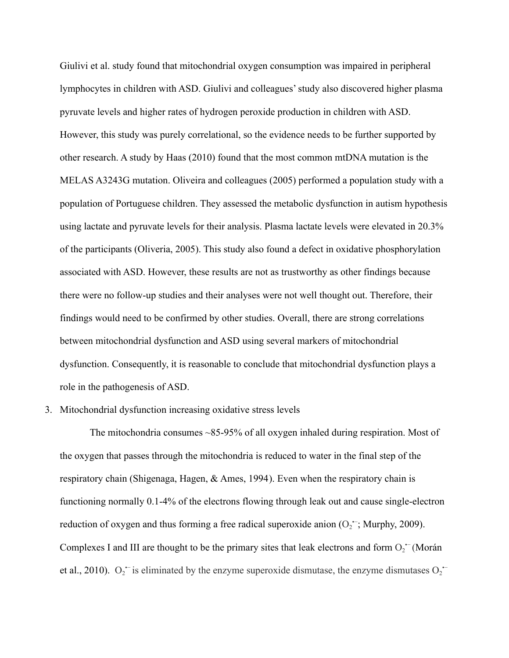Giulivi et al. study found that mitochondrial oxygen consumption was impaired in peripheral lymphocytes in children with ASD. Giulivi and colleagues' study also discovered higher plasma pyruvate levels and higher rates of hydrogen peroxide production in children with ASD. However, this study was purely correlational, so the evidence needs to be further supported by other research. A study by Haas (2010) found that the most common mtDNA mutation is the MELAS A3243G mutation. Oliveira and colleagues (2005) performed a population study with a population of Portuguese children. They assessed the metabolic dysfunction in autism hypothesis using lactate and pyruvate levels for their analysis. Plasma lactate levels were elevated in 20.3% of the participants (Oliveria, 2005). This study also found a defect in oxidative phosphorylation associated with ASD. However, these results are not as trustworthy as other findings because there were no follow-up studies and their analyses were not well thought out. Therefore, their findings would need to be confirmed by other studies. Overall, there are strong correlations between mitochondrial dysfunction and ASD using several markers of mitochondrial dysfunction. Consequently, it is reasonable to conclude that mitochondrial dysfunction plays a role in the pathogenesis of ASD.

#### 3. Mitochondrial dysfunction increasing oxidative stress levels

The mitochondria consumes ~85-95% of all oxygen inhaled during respiration. Most of the oxygen that passes through the mitochondria is reduced to water in the final step of the respiratory chain (Shigenaga, Hagen, & Ames, 1994). Even when the respiratory chain is functioning normally 0.1-4% of the electrons flowing through leak out and cause single-electron reduction of oxygen and thus forming a free radical superoxide anion  $(O_2^{\text{-}};$  Murphy, 2009). Complexes I and III are thought to be the primary sites that leak electrons and form  $O_2$ <sup> $-$ </sup> (Morán et al., 2010).  $O_2$  is eliminated by the enzyme superoxide dismutase, the enzyme dismutases  $O_2$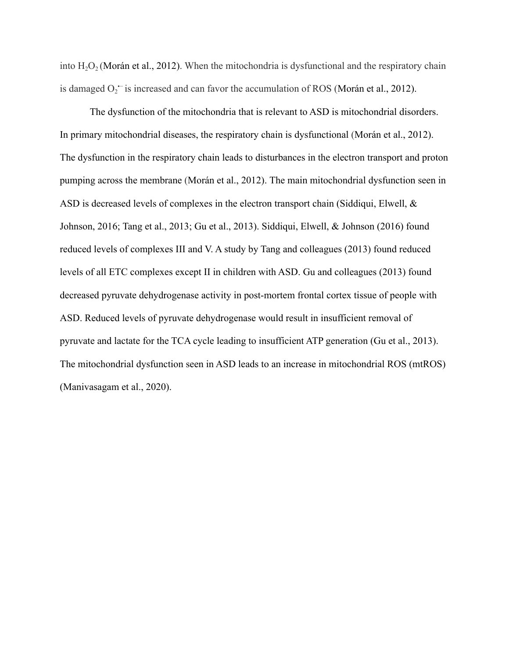into  $H_2O_2$  (Morán et al., 2012). When the mitochondria is dysfunctional and the respiratory chain is damaged  $O_2$ <sup> $-$ </sup> is increased and can favor the accumulation of ROS (Morán et al., 2012).

The dysfunction of the mitochondria that is relevant to ASD is mitochondrial disorders. In primary mitochondrial diseases, the respiratory chain is dysfunctional (Morán et al., 2012). The dysfunction in the respiratory chain leads to disturbances in the electron transport and proton pumping across the membrane (Morán et al., 2012). The main mitochondrial dysfunction seen in ASD is decreased levels of complexes in the electron transport chain (Siddiqui, Elwell, & Johnson, 2016; Tang et al., 2013; Gu et al., 2013). Siddiqui, Elwell, & Johnson (2016) found reduced levels of complexes III and V. A study by Tang and colleagues (2013) found reduced levels of all ETC complexes except II in children with ASD. Gu and colleagues (2013) found decreased pyruvate dehydrogenase activity in post-mortem frontal cortex tissue of people with ASD. Reduced levels of pyruvate dehydrogenase would result in insufficient removal of pyruvate and lactate for the TCA cycle leading to insufficient ATP generation (Gu et al., 2013). The mitochondrial dysfunction seen in ASD leads to an increase in mitochondrial ROS (mtROS) (Manivasagam et al., 2020).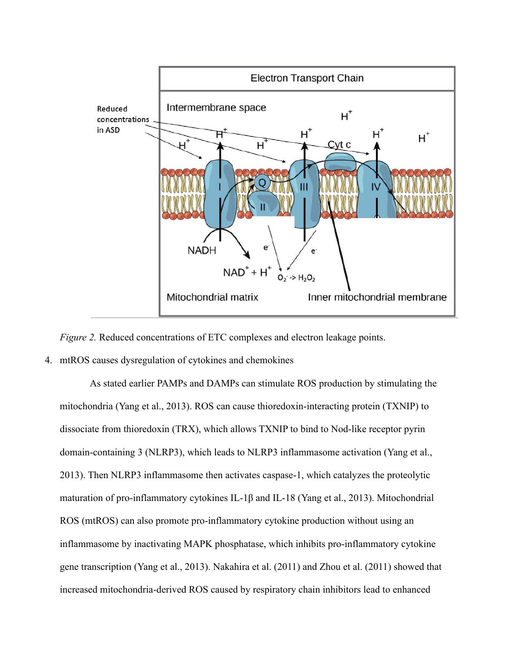

*Figure 2.* Reduced concentrations of ETC complexes and electron leakage points.

# 4. mtROS causes dysregulation of cytokines and chemokines

As stated earlier PAMPs and DAMPs can stimulate ROS production by stimulating the mitochondria (Yang et al., 2013). ROS can cause thioredoxin-interacting protein (TXNIP) to dissociate from thioredoxin (TRX), which allows TXNIP to bind to Nod-like receptor pyrin domain-containing 3 (NLRP3), which leads to NLRP3 inflammasome activation (Yang et al., 2013). Then NLRP3 inflammasome then activates caspase-1, which catalyzes the proteolytic maturation of pro-inflammatory cytokines IL-1β and IL-18 (Yang et al., 2013). Mitochondrial ROS (mtROS) can also promote pro-inflammatory cytokine production without using an inflammasome by inactivating MAPK phosphatase, which inhibits pro-inflammatory cytokine gene transcription (Yang et al., 2013). Nakahira et al. (2011) and Zhou et al. (2011) showed that increased mitochondria-derived ROS caused by respiratory chain inhibitors lead to enhanced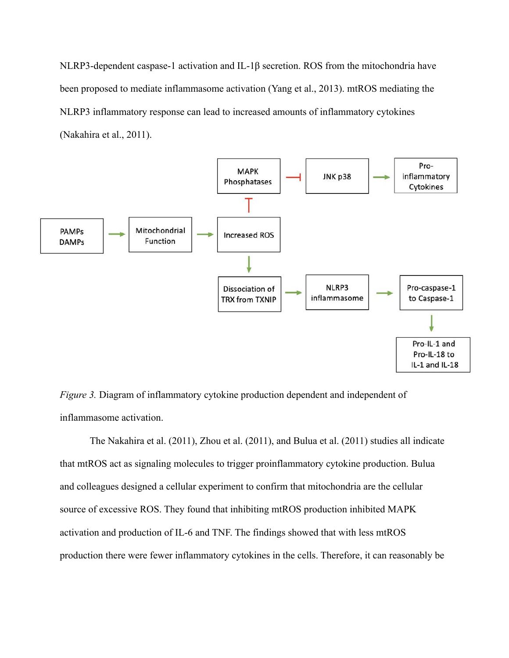NLRP3-dependent caspase-1 activation and IL-1β secretion. ROS from the mitochondria have been proposed to mediate inflammasome activation (Yang et al., 2013). mtROS mediating the NLRP3 inflammatory response can lead to increased amounts of inflammatory cytokines (Nakahira et al., 2011).



*Figure 3.* Diagram of inflammatory cytokine production dependent and independent of inflammasome activation.

The Nakahira et al. (2011), Zhou et al. (2011), and Bulua et al. (2011) studies all indicate that mtROS act as signaling molecules to trigger proinflammatory cytokine production. Bulua and colleagues designed a cellular experiment to confirm that mitochondria are the cellular source of excessive ROS. They found that inhibiting mtROS production inhibited MAPK activation and production of IL-6 and TNF. The findings showed that with less mtROS production there were fewer inflammatory cytokines in the cells. Therefore, it can reasonably be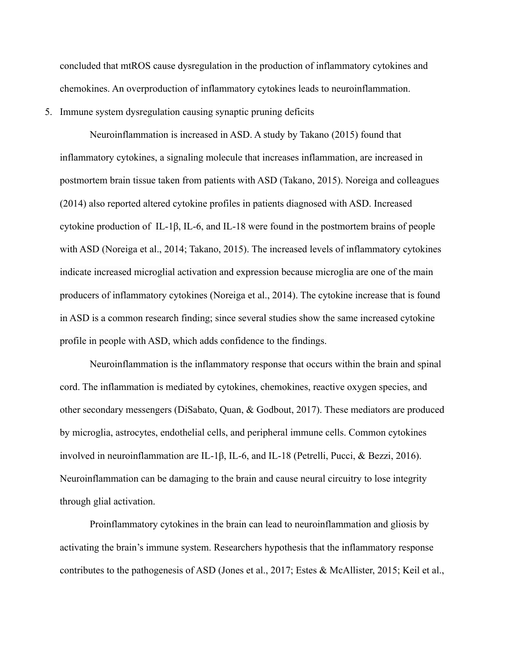concluded that mtROS cause dysregulation in the production of inflammatory cytokines and chemokines. An overproduction of inflammatory cytokines leads to neuroinflammation.

5. Immune system dysregulation causing synaptic pruning deficits

Neuroinflammation is increased in ASD. A study by Takano (2015) found that inflammatory cytokines, a signaling molecule that increases inflammation, are increased in postmortem brain tissue taken from patients with ASD (Takano, 2015). Noreiga and colleagues (2014) also reported altered cytokine profiles in patients diagnosed with ASD. Increased cytokine production of IL-1β, IL-6, and IL-18 were found in the postmortem brains of people with ASD (Noreiga et al., 2014; Takano, 2015). The increased levels of inflammatory cytokines indicate increased microglial activation and expression because microglia are one of the main producers of inflammatory cytokines (Noreiga et al., 2014). The cytokine increase that is found in ASD is a common research finding; since several studies show the same increased cytokine profile in people with ASD, which adds confidence to the findings.

Neuroinflammation is the inflammatory response that occurs within the brain and spinal cord. The inflammation is mediated by cytokines, chemokines, reactive oxygen species, and other secondary messengers (DiSabato, Quan, & Godbout, 2017). These mediators are produced by microglia, astrocytes, endothelial cells, and peripheral immune cells. Common cytokines involved in neuroinflammation are IL-1β, IL-6, and IL-18 (Petrelli, Pucci, & Bezzi, 2016). Neuroinflammation can be damaging to the brain and cause neural circuitry to lose integrity through glial activation.

Proinflammatory cytokines in the brain can lead to neuroinflammation and gliosis by activating the brain's immune system. Researchers hypothesis that the inflammatory response contributes to the pathogenesis of ASD (Jones et al., 2017; Estes & McAllister, 2015; Keil et al.,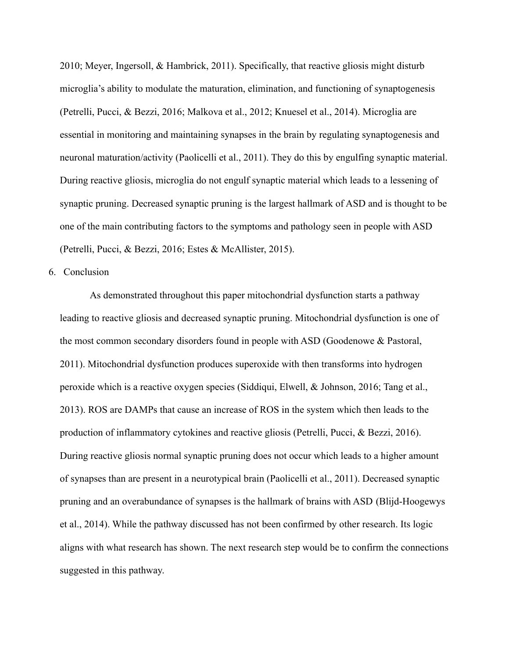2010; Meyer, Ingersoll, & Hambrick, 2011). Specifically, that reactive gliosis might disturb microglia's ability to modulate the maturation, elimination, and functioning of synaptogenesis (Petrelli, Pucci, & Bezzi, 2016; Malkova et al., 2012; Knuesel et al., 2014). Microglia are essential in monitoring and maintaining synapses in the brain by regulating synaptogenesis and neuronal maturation/activity (Paolicelli et al., 2011). They do this by engulfing synaptic material. During reactive gliosis, microglia do not engulf synaptic material which leads to a lessening of synaptic pruning. Decreased synaptic pruning is the largest hallmark of ASD and is thought to be one of the main contributing factors to the symptoms and pathology seen in people with ASD (Petrelli, Pucci, & Bezzi, 2016; Estes & McAllister, 2015).

6. Conclusion

As demonstrated throughout this paper mitochondrial dysfunction starts a pathway leading to reactive gliosis and decreased synaptic pruning. Mitochondrial dysfunction is one of the most common secondary disorders found in people with ASD (Goodenowe & Pastoral, 2011). Mitochondrial dysfunction produces superoxide with then transforms into hydrogen peroxide which is a reactive oxygen species (Siddiqui, Elwell, & Johnson, 2016; Tang et al., 2013). ROS are DAMPs that cause an increase of ROS in the system which then leads to the production of inflammatory cytokines and reactive gliosis (Petrelli, Pucci, & Bezzi, 2016). During reactive gliosis normal synaptic pruning does not occur which leads to a higher amount of synapses than are present in a neurotypical brain (Paolicelli et al., 2011). Decreased synaptic pruning and an overabundance of synapses is the hallmark of brains with ASD (Blijd-Hoogewys et al., 2014). While the pathway discussed has not been confirmed by other research. Its logic aligns with what research has shown. The next research step would be to confirm the connections suggested in this pathway.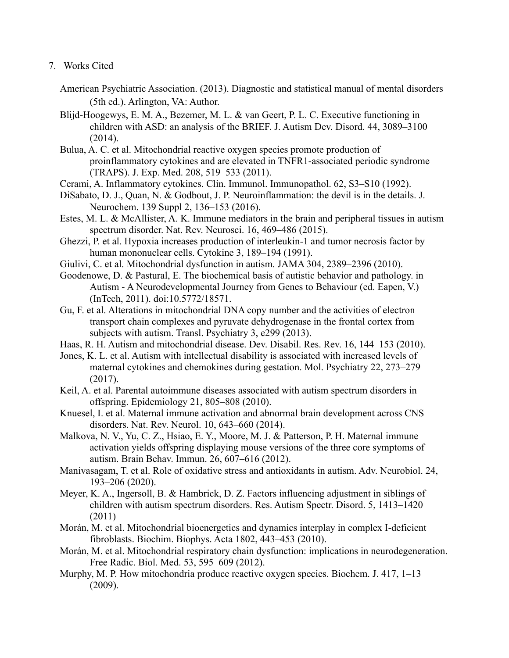- 7. Works Cited
	- American Psychiatric Association. (2013). Diagnostic and statistical manual of mental disorders (5th ed.). Arlington, VA: Author.
	- Blijd-Hoogewys, E. M. A., Bezemer, M. L. & van Geert, P. L. C. Executive functioning in children with ASD: an analysis of the BRIEF. J. Autism Dev. Disord. 44, 3089–3100 (2014).
	- Bulua, A. C. et al. Mitochondrial reactive oxygen species promote production of proinflammatory cytokines and are elevated in TNFR1-associated periodic syndrome (TRAPS). J. Exp. Med. 208, 519–533 (2011).
	- Cerami, A. Inflammatory cytokines. Clin. Immunol. Immunopathol. 62, S3–S10 (1992).
	- DiSabato, D. J., Quan, N. & Godbout, J. P. Neuroinflammation: the devil is in the details. J. Neurochem. 139 Suppl 2, 136–153 (2016).
	- Estes, M. L. & McAllister, A. K. Immune mediators in the brain and peripheral tissues in autism spectrum disorder. Nat. Rev. Neurosci. 16, 469–486 (2015).
	- Ghezzi, P. et al. Hypoxia increases production of interleukin-1 and tumor necrosis factor by human mononuclear cells. Cytokine 3, 189–194 (1991).
	- Giulivi, C. et al. Mitochondrial dysfunction in autism. JAMA 304, 2389–2396 (2010).
	- Goodenowe, D. & Pastural, E. The biochemical basis of autistic behavior and pathology. in Autism - A Neurodevelopmental Journey from Genes to Behaviour (ed. Eapen, V.) (InTech, 2011). doi:10.5772/18571.
	- Gu, F. et al. Alterations in mitochondrial DNA copy number and the activities of electron transport chain complexes and pyruvate dehydrogenase in the frontal cortex from subjects with autism. Transl. Psychiatry 3, e299 (2013).
	- Haas, R. H. Autism and mitochondrial disease. Dev. Disabil. Res. Rev. 16, 144–153 (2010).
	- Jones, K. L. et al. Autism with intellectual disability is associated with increased levels of maternal cytokines and chemokines during gestation. Mol. Psychiatry 22, 273–279 (2017).
	- Keil, A. et al. Parental autoimmune diseases associated with autism spectrum disorders in offspring. Epidemiology 21, 805–808 (2010).
	- Knuesel, I. et al. Maternal immune activation and abnormal brain development across CNS disorders. Nat. Rev. Neurol. 10, 643–660 (2014).
	- Malkova, N. V., Yu, C. Z., Hsiao, E. Y., Moore, M. J. & Patterson, P. H. Maternal immune activation yields offspring displaying mouse versions of the three core symptoms of autism. Brain Behav. Immun. 26, 607–616 (2012).
	- Manivasagam, T. et al. Role of oxidative stress and antioxidants in autism. Adv. Neurobiol. 24, 193–206 (2020).
	- Meyer, K. A., Ingersoll, B. & Hambrick, D. Z. Factors influencing adjustment in siblings of children with autism spectrum disorders. Res. Autism Spectr. Disord. 5, 1413–1420 (2011)
	- Morán, M. et al. Mitochondrial bioenergetics and dynamics interplay in complex I-deficient fibroblasts. Biochim. Biophys. Acta 1802, 443–453 (2010).
	- Morán, M. et al. Mitochondrial respiratory chain dysfunction: implications in neurodegeneration. Free Radic. Biol. Med. 53, 595–609 (2012).
	- Murphy, M. P. How mitochondria produce reactive oxygen species. Biochem. J. 417, 1–13 (2009).